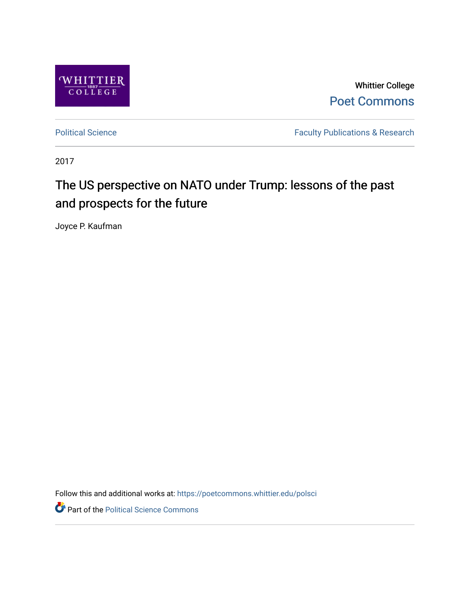

Whittier College [Poet Commons](https://poetcommons.whittier.edu/) 

[Political Science](https://poetcommons.whittier.edu/polsci) **Faculty Publications & Research** 

2017

## The US perspective on NATO under Trump: lessons of the past and prospects for the future

Joyce P. Kaufman

Follow this and additional works at: [https://poetcommons.whittier.edu/polsci](https://poetcommons.whittier.edu/polsci?utm_source=poetcommons.whittier.edu%2Fpolsci%2F2&utm_medium=PDF&utm_campaign=PDFCoverPages) 

Part of the [Political Science Commons](http://network.bepress.com/hgg/discipline/386?utm_source=poetcommons.whittier.edu%2Fpolsci%2F2&utm_medium=PDF&utm_campaign=PDFCoverPages)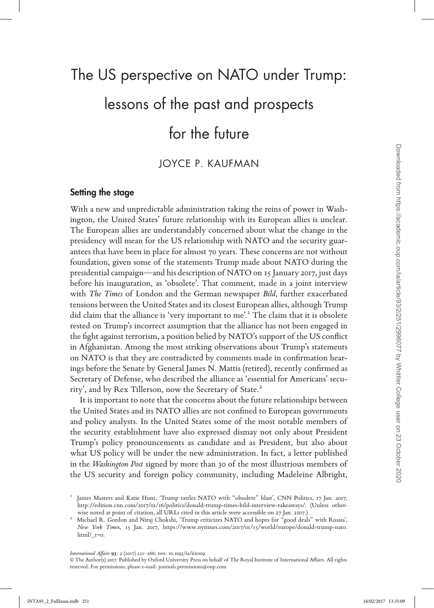# The US perspective on NATO under Trump: lessons of the past and prospects for the future

## JOYCE P. KAUFMAN

## Setting the stage

With a new and unpredictable administration taking the reins of power in Washington, the United States' future relationship with its European allies is unclear. The European allies are understandably concerned about what the change in the presidency will mean for the US relationship with NATO and the security guarantees that have been in place for almost 70 years. These concerns are not without foundation, given some of the statements Trump made about NATO during the presidential campaign—and his description of NATO on 15 January 2017, just days before his inauguration, as 'obsolete'. That comment, made in a joint interview with *The Times* of London and the German newspaper *Bild*, further exacerbated tensions between the United States and its closest European allies, although Trump did claim that the alliance is 'very important to me'.1 The claim that it is obsolete rested on Trump's incorrect assumption that the alliance has not been engaged in the fight against terrorism, a position belied by NATO's support of the US conflict in Afghanistan. Among the most striking observations about Trump's statements on NATO is that they are contradicted by comments made in confirmation hearings before the Senate by General James N. Mattis (retired), recently confirmed as Secretary of Defense, who described the alliance as 'essential for Americans' security', and by Rex Tillerson, now the Secretary of State.<sup>2</sup> **IOYCE P. KAUFMAN**<br> **Setting the stoge**<br>
With a new and unpredictable administration taking the reins of power-in Wash-<br>
ingrom, the Usture State from the Ustar Chinese have the Tompachia its include the state of the posi

It is important to note that the concerns about the future relationships between the United States and its NATO allies are not confined to European governments and policy analysts. In the United States some of the most notable members of the security establishment have also expressed dismay not only about President Trump's policy pronouncements as candidate and as President, but also about what US policy will be under the new administration. In fact, a letter published in the *Washington Post* signed by more than 30 of the most illustrious members of the US security and foreign policy community, including Madeleine Albright,

*International Affairs* **93**: 2 (2017) 251–266; doi: 10.1093/ia/iix009

<sup>&</sup>lt;sup>1</sup> James Masters and Katie Hunt, 'Trump rattles NATO with "obsolete" blast', CNN Politics, 17 Jan. 2017, http://edition.cnn.com/2017/01/16/politics/donald-trump-times-bild-interview-takeaways/. (Unless other-

wise noted at point of citation, all URLs cited in this article were accessible on 27 Jan. 2107.) <sup>2</sup> Michael R. Gordon and Niraj Chokshi, 'Trump criticizes NATO and hopes for "good deals" with Russia', *New York Time*s, 15 Jan. 2017, https://www.nytimes.com/2017/01/15/world/europe/donald-trump-nato. html?\_r=0.

<sup>©</sup> The Author(s) 2017. Published by Oxford University Press on behalf of The Royal Institute of International Affairs. All rights reserved. For permissions, please e-mail: journals.permissions@oup.com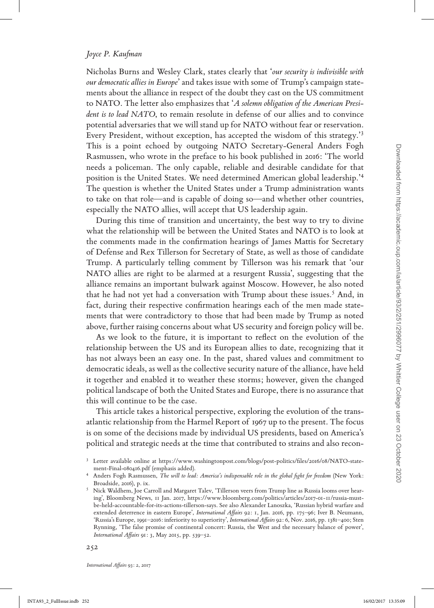Nicholas Burns and Wesley Clark, states clearly that '*our security is indivisible with our democratic allies in Europe*'and takes issue with some of Trump's campaign statements about the alliance in respect of the doubt they cast on the US commitment to NATO. The letter also emphasizes that '*A solemn obligation of the American President is to lead NATO*, to remain resolute in defense of our allies and to convince potential adversaries that we will stand up for NATO without fear or reservation. Every President, without exception, has accepted the wisdom of this strategy.'3 This is a point echoed by outgoing NATO Secretary-General Anders Fogh Rasmussen, who wrote in the preface to his book published in 2016: 'The world needs a policeman. The only capable, reliable and desirable candidate for that position is the United States. We need determined American global leadership.'<sup>4</sup> The question is whether the United States under a Trump administration wants to take on that role—and is capable of doing so—and whether other countries, especially the NATO allies, will accept that US leadership again.

During this time of transition and uncertainty, the best way to try to divine what the relationship will be between the United States and NATO is to look at the comments made in the confirmation hearings of James Mattis for Secretary of Defense and Rex Tillerson for Secretary of State, as well as those of candidate Trump. A particularly telling comment by Tillerson was his remark that 'our NATO allies are right to be alarmed at a resurgent Russia', suggesting that the alliance remains an important bulwark against Moscow. However, he also noted that he had not yet had a conversation with Trump about these issues.<sup>5</sup> And, in fact, during their respective confirmation hearings each of the men made statements that were contradictory to those that had been made by Trump as noted above, further raising concerns about what US security and foreign policy will be. INT43 A point encoded by outgoing peak to be considered anomal regular contains and the pelocid pelocid relation of the time of the stationary the condition and the stationary three from the stationary in the college user

As we look to the future, it is important to reflect on the evolution of the relationship between the US and its European allies to date, recognizing that it has not always been an easy one. In the past, shared values and commitment to democratic ideals, as well as the collective security nature of the alliance, have held it together and enabled it to weather these storms; however, given the changed political landscape of both the United States and Europe, there is no assurance that this will continue to be the case.

This article takes a historical perspective, exploring the evolution of the transatlantic relationship from the Harmel Report of 1967 up to the present. The focus is on some of the decisions made by individual US presidents, based on America's political and strategic needs at the time that contributed to strains and also recon-

<sup>3</sup> Letter available online at https://www.washingtonpost.com/blogs/post-politics/files/2016/08/NATO-statement-Final-080416.pdf (emphasis added). <sup>4</sup> Anders Fogh Rasmussen, *The will to lead: America's indispensable role in the global fight for freedom* (New York:

Broadside, 2016), p. ix.<br><sup>5</sup> Nick Waldhem, Joe Carroll and Margaret Talev, 'Tillerson veers from Trump line as Russia looms over hear-

ing', Bloomberg News, 11 Jan. 2017, https://www.bloomberg.com/politics/articles/2017-01-11/russia-mustbe-held-accountable-for-its-actions-tillerson-says. See also Alexander Lanoszka, 'Russian hybrid warfare and extended deterrence in eastern Europe', *International Affairs* 92: 1, Jan. 2016, pp. 175–96; Iver B. Neumann, 'Russia's Europe, 1991–2016: inferiority to superiority', *International Affairs* 92: 6, Nov. 2016, pp. 1381–400; Sten Rynning, 'The false promise of continental concert: Russia, the West and the necessary balance of power', *International Affairs* 91: 3, May 2015, pp. 539–52.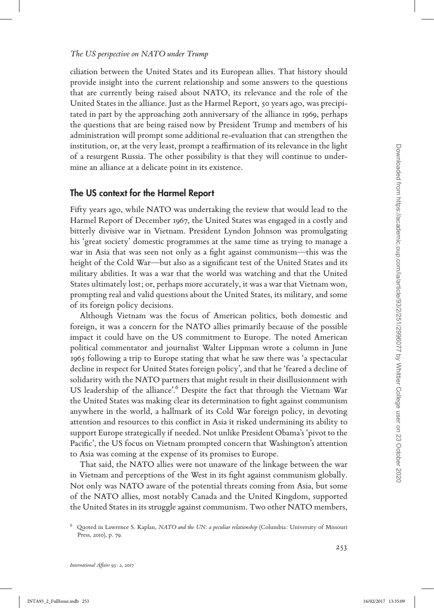ciliation between the United States and its European allies. That history should provide insight into the current relationship and some answers to the questions that are currently being raised about NATO, its relevance and the role of the United States in the alliance. Just as the Harmel Report, 50 years ago, was precipitated in part by the approaching 20th anniversary of the alliance in 1969, perhaps the questions that are being raised now by President Trump and members of his administration will prompt some additional re-evaluation that can strengthen the institution, or, at the very least, prompt a reaffirmation of its relevance in the light of a resurgent Russia. The other possibility is that they will continue to undermine an alliance at a delicate point in its existence.

## The US context for the Harmel Report

Fifty years ago, while NATO was undertaking the review that would lead to the Harmel Report of December 1967, the United States was engaged in a costly and bitterly divisive war in Vietnam. President Lyndon Johnson was promulgating his 'great society' domestic programmes at the same time as trying to manage a war in Asia that was seen not only as a fight against communism—this was the height of the Cold War—but also as a significant test of the United States and its military abilities. It was a war that the world was watching and that the United States ultimately lost; or, perhaps more accurately, it was a war that Vietnam won, prompting real and valid questions about the United States, its military, and some of its foreign policy decisions.

Although Vietnam was the focus of American politics, both domestic and foreign, it was a concern for the NATO allies primarily because of the possible impact it could have on the US commitment to Europe. The noted American political commentator and journalist Walter Lippman wrote a column in June 1965 following a trip to Europe stating that what he saw there was 'a spectacular decline in respect for United States foreign policy', and that he 'feared a decline of solidarity with the NATO partners that might result in their disillusionment with US leadership of the alliance'.<sup>6</sup> Despite the fact that through the Vietnam War the United States was making clear its determination to fight against communism anywhere in the world, a hallmark of its Cold War foreign policy, in devoting attention and resources to this conflict in Asia it risked undermining its ability to support Europe strategically if needed. Not unlike President Obama's 'pivot to the Pacific', the US focus on Vietnam prompted concern that Washington's attention to Asia was coming at the expense of its promises to Europe. Internation, co, ottober 1983. The college user of the results of the college user and the college user and the college user and the college user of the college user of the college user of the college user of the college

That said, the NATO allies were not unaware of the linkage between the war in Vietnam and perceptions of the West in its fight against communism globally. Not only was NATO aware of the potential threats coming from Asia, but some of the NATO allies, most notably Canada and the United Kingdom, supported the United States in its struggle against communism. Two other NATO members,

<sup>6</sup> Quoted in Lawrence S. Kaplan, *NATO and the UN: a peculiar relationship* (Columbia: University of Missouri Press, 2010), p. 79.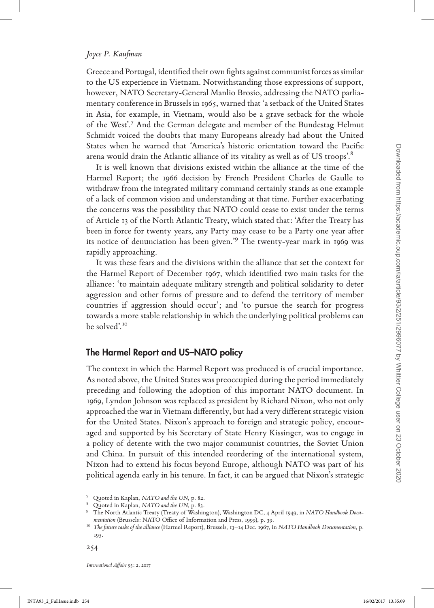Greece and Portugal, identified their own fights against communist forces as similar to the US experience in Vietnam. Notwithstanding those expressions of support, however, NATO Secretary-General Manlio Brosio, addressing the NATO parliamentary conference in Brussels in 1965, warned that 'a setback of the United States in Asia, for example, in Vietnam, would also be a grave setback for the whole of the West'.7 And the German delegate and member of the Bundestag Helmut Schmidt voiced the doubts that many Europeans already had about the United States when he warned that 'America's historic orientation toward the Pacific arena would drain the Atlantic alliance of its vitality as well as of US troops'.8

It is well known that divisions existed within the alliance at the time of the Harmel Report; the 1966 decision by French President Charles de Gaulle to withdraw from the integrated military command certainly stands as one example of a lack of common vision and understanding at that time. Further exacerbating the concerns was the possibility that NATO could cease to exist under the terms of Article 13 of the North Atlantic Treaty, which stated that: 'After the Treaty has been in force for twenty years, any Party may cease to be a Party one year after its notice of denunciation has been given.'<sup>9</sup> The twenty-year mark in 1969 was rapidly approaching.

It was these fears and the divisions within the alliance that set the context for the Harmel Report of December 1967, which identified two main tasks for the alliance: 'to maintain adequate military strength and political solidarity to deter aggression and other forms of pressure and to defend the territory of member countries if aggression should occur'; and 'to pursue the search for progress towards a more stable relationship in which the underlying political problems can be solved'.<sup>10</sup>

## The Harmel Report and US–NATO policy

The context in which the Harmel Report was produced is of crucial importance. As noted above, the United States was preoccupied during the period immediately preceding and following the adoption of this important NATO document. In 1969, Lyndon Johnson was replaced as president by Richard Nixon, who not only approached the war in Vietnam differently, but had a very different strategic vision for the United States. Nixon's approach to foreign and strategic policy, encouraged and supported by his Secretary of State Henry Kissinger, was to engage in a policy of detente with the two major communist countries, the Soviet Union and China. In pursuit of this intended reordering of the international system, Nixon had to extend his focus beyond Europe, although NATO was part of his political agenda early in his tenure. In fact, it can be argued that Nixon's strategic States which the Flamin of the selection of the real is the real in the solution of the solution of the solution of the solution of the solution of the solution of the solution of the solution of the solution of the solut

<sup>7</sup> Quoted in Kaplan, *NATO and the UN*, p. 82. <sup>8</sup> Quoted in Kaplan, *NATO and the UN*, p. 83. <sup>9</sup> The North Atlantic Treaty (Treaty of Washington), Washington DC, 4 April 1949, in *NATO Handbook Documentation* (Brussels: NATO Office of Information and Press, 1999), p. 39. <sup>10</sup> *The future tasks of the alliance* (Harmel Report), Brussels, 13–14 Dec. 1967, in *NATO Handbook Documentation*, p.

<sup>195.</sup>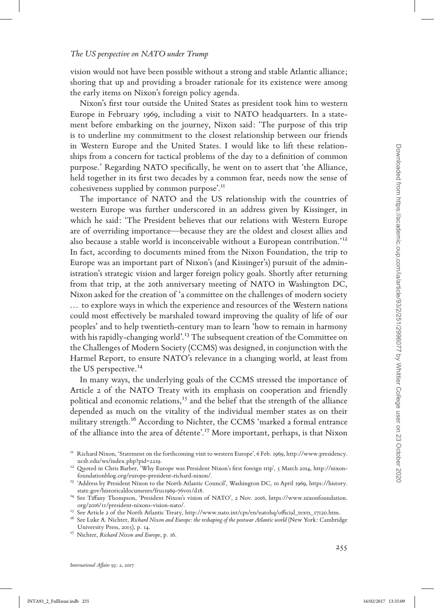vision would not have been possible without a strong and stable Atlantic alliance; shoring that up and providing a broader rationale for its existence were among the early items on Nixon's foreign policy agenda.

Nixon's first tour outside the United States as president took him to western Europe in February 1969, including a visit to NATO headquarters. In a statement before embarking on the journey, Nixon said: 'The purpose of this trip is to underline my commitment to the closest relationship between our friends in Western Europe and the United States. I would like to lift these relationships from a concern for tactical problems of the day to a definition of common purpose.' Regarding NATO specifically, he went on to assert that 'the Alliance, held together in its first two decades by a common fear, needs now the sense of cohesiveness supplied by common purpose'.11

The importance of NATO and the US relationship with the countries of western Europe was further underscored in an address given by Kissinger, in which he said: 'The President believes that our relations with Western Europe are of overriding importance—because they are the oldest and closest allies and also because a stable world is inconceivable without a European contribution.'12 In fact, according to documents mined from the Nixon Foundation, the trip to Europe was an important part of Nixon's (and Kissinger's) pursuit of the administration's strategic vision and larger foreign policy goals. Shortly after returning from that trip, at the 20th anniversary meeting of NATO in Washington DC, Nixon asked for the creation of 'a committee on the challenges of modern society ... to explore ways in which the experience and resources of the Western nations could most effectively be marshaled toward improving the quality of life of our peoples' and to help twentieth-century man to learn 'how to remain in harmony with his rapidly-changing world'.<sup>13</sup> The subsequent creation of the Committee on the Challenges of Modern Society (CCMS) was designed, in conjunction with the Harmel Report, to ensure NATO's relevance in a changing world, at least from the US perspective.<sup>14</sup> IN which we have the content of the College and the College user of the college the content of the college the second from the college that the Allines.<br>
Heli regular particle from the college to the college user of colle

In many ways, the underlying goals of the CCMS stressed the importance of Article 2 of the NATO Treaty with its emphasis on cooperation and friendly political and economic relations,<sup>15</sup> and the belief that the strength of the alliance depended as much on the vitality of the individual member states as on their military strength.<sup>16</sup> According to Nichter, the CCMS 'marked a formal entrance of the alliance into the area of détente'.17 More important, perhaps, is that Nixon

<sup>11</sup> Richard Nixon, 'Statement on the forthcoming visit to western Europe', 6 Feb. 1969, http://www.presidency. ucsb.edu/ws/index.php?pid=2219. <sup>12</sup> Quoted in Chris Barber, 'Why Europe was President Nixon's first foreign trip', 5 March 2014, http://nixon-

foundationblog.org/europe-president-richard-nixon/. <sup>13</sup> 'Address by President Nixon to the North Atlantic Council', Washington DC, 10 April 1969, https://history.

<sup>&</sup>lt;sup>14</sup> See Tiffany Thompson, 'President Nixon's vision of NATO', 2 Nov. 2016, https://www.nixonfoundation. org/2016/11/president-nixons-vision-nato/.<br><sup>15</sup> See Article 2 of the North Atlantic Treaty, http://www.nato.int/cps/en/natohq/official\_texts\_17120.htm.<br><sup>16</sup> See Luke A. Nichter, *Richard Nixon and Europe: the reshaping of* 

University Press, 2015), p. 14. <sup>17</sup> Nichter, *Richard Nixon and Europe*, p. 16.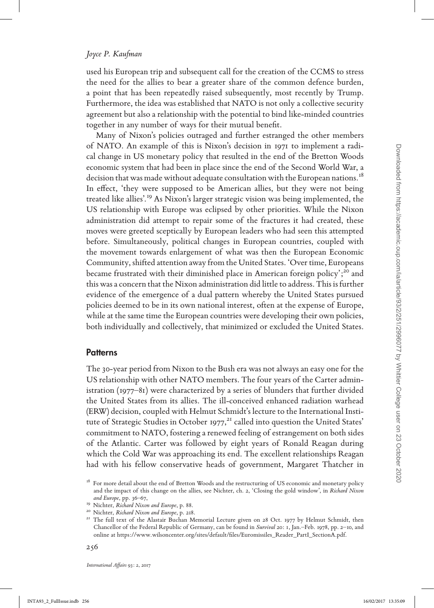used his European trip and subsequent call for the creation of the CCMS to stress the need for the allies to bear a greater share of the common defence burden, a point that has been repeatedly raised subsequently, most recently by Trump. Furthermore, the idea was established that NATO is not only a collective security agreement but also a relationship with the potential to bind like-minded countries together in any number of ways for their mutual benefit.

Many of Nixon's policies outraged and further estranged the other members of NATO. An example of this is Nixon's decision in 1971 to implement a radical change in US monetary policy that resulted in the end of the Bretton Woods economic system that had been in place since the end of the Second World War, a decision that was made without adequate consultation with the European nations.<sup>18</sup> In effect, 'they were supposed to be American allies, but they were not being treated like allies'.19 As Nixon's larger strategic vision was being implemented, the US relationship with Europe was eclipsed by other priorities. While the Nixon administration did attempt to repair some of the fractures it had created, these moves were greeted sceptically by European leaders who had seen this attempted before. Simultaneously, political changes in European countries, coupled with the movement towards enlargement of what was then the European Economic Community, shifted attention away from the United States. 'Over time, Europeans became frustrated with their diminished place in American foreign policy';<sup>20</sup> and this was a concern that the Nixon administration did little to address. This is further evidence of the emergence of a dual pattern whereby the United States pursued policies deemed to be in its own national interest, often at the expense of Europe, while at the same time the European countries were developing their own policies, both individually and collectively, that minimized or excluded the United States. INTEX POLICIAL SECULAR SECULAR SECULAR SECULAR SECULAR SECULAR SECULAR SECULAR SECULAR SECULAR SECULAR SECULAR SECULAR SECULAR SECULAR SECULAR SECULAR SECULAR SECULAR SECULAR SECULAR SECULAR SECULAR SECULAR SECULAR SECUL

## **Patterns**

The 30-year period from Nixon to the Bush era was not always an easy one for the US relationship with other NATO members. The four years of the Carter administration (1977–81) were characterized by a series of blunders that further divided the United States from its allies. The ill-conceived enhanced radiation warhead (ERW) decision, coupled with Helmut Schmidt's lecture to the International Institute of Strategic Studies in October 1977,<sup>21</sup> called into question the United States' commitment to NATO, fostering a renewed feeling of estrangement on both sides of the Atlantic. Carter was followed by eight years of Ronald Reagan during which the Cold War was approaching its end. The excellent relationships Reagan had with his fellow conservative heads of government, Margaret Thatcher in

<sup>&</sup>lt;sup>18</sup> For more detail about the end of Bretton Woods and the restructuring of US economic and monetary policy and the impact of this change on the allies, see Nichter, ch. 2, 'Closing the gold window', in *Richard Nixon* 

and Europe, pp. 36–67,<br><sup>19</sup> Nichter, *Richard Nixon and Europe*, p. 88.<br><sup>20</sup> Nichter, *Richard Nixon and Europe*, p. 218.<br><sup>21</sup> The full text of the Alastair Buchan Memorial Lecture given on 28 Oct. 1977 by Helmut Schmidt, Chancellor of the Federal Republic of Germany, can be found in *Survival* 20: 1, Jan.–Feb. 1978, pp. 2–10, and online at https://www.wilsoncenter.org/sites/default/files/Euromissiles\_Reader\_PartI\_SectionA.pdf.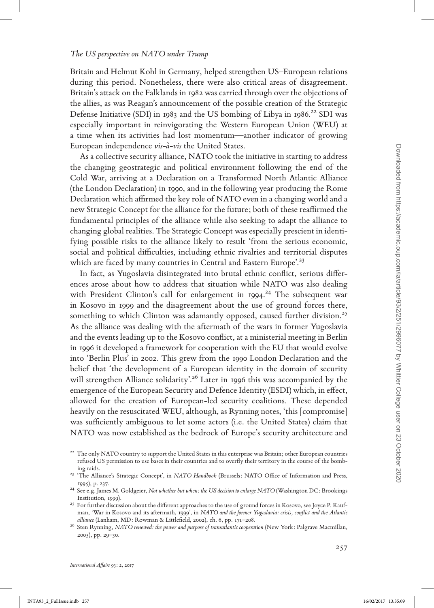### *The US perspective on NATO under Trump*

Britain and Helmut Kohl in Germany, helped strengthen US–European relations during this period. Nonetheless, there were also critical areas of disagreement. Britain's attack on the Falklands in 1982 was carried through over the objections of the allies, as was Reagan's announcement of the possible creation of the Strategic Defense Initiative (SDI) in 1983 and the US bombing of Libya in 1986.<sup>22</sup> SDI was especially important in reinvigorating the Western European Union (WEU) at a time when its activities had lost momentum—another indicator of growing European independence *vis-à-vis* the United States.

As a collective security alliance, NATO took the initiative in starting to address the changing geostrategic and political environment following the end of the Cold War, arriving at a Declaration on a Transformed North Atlantic Alliance (the London Declaration) in 1990, and in the following year producing the Rome Declaration which affirmed the key role of NATO even in a changing world and a new Strategic Concept for the alliance for the future; both of these reaffirmed the fundamental principles of the alliance while also seeking to adapt the alliance to changing global realities. The Strategic Concept was especially prescient in identifying possible risks to the alliance likely to result 'from the serious economic, social and political difficulties, including ethnic rivalries and territorial disputes which are faced by many countries in Central and Eastern Europe'.<sup>23</sup>

In fact, as Yugoslavia disintegrated into brutal ethnic conflict, serious differences arose about how to address that situation while NATO was also dealing with President Clinton's call for enlargement in 1994.<sup>24</sup> The subsequent war in Kosovo in 1999 and the disagreement about the use of ground forces there, something to which Clinton was adamantly opposed, caused further division.<sup>25</sup> As the alliance was dealing with the aftermath of the wars in former Yugoslavia and the events leading up to the Kosovo conflict, at a ministerial meeting in Berlin in 1996 it developed a framework for cooperation with the EU that would evolve into 'Berlin Plus' in 2002. This grew from the 1990 London Declaration and the belief that 'the development of a European identity in the domain of security will strengthen Alliance solidarity'.<sup>26</sup> Later in 1996 this was accompanied by the emergence of the European Security and Defence Identity (ESDI) which, in effect, allowed for the creation of European-led security coalitions. These depended heavily on the resuscitated WEU, although, as Rynning notes, 'this [compromise] was sufficiently ambiguous to let some actors (i.e. the United States) claim that NATO was now established as the bedrock of Europe's security architecture and INTERT CONSERVATION CONSERVATION CONSERVATION IN EVALUATION IN the college of the college of the college user of the college user of the college user of the college user of the college user of the college user of the coll

<sup>&</sup>lt;sup>22</sup> The only NATO country to support the United States in this enterprise was Britain; other European countries refused US permission to use bases in their countries and to overfly their territory in the course of the bomb-

ing raids. <sup>23</sup> 'The Alliance's Strategic Concept', in *NATO Handbook* (Brussels: NATO Office of Information and Press,

<sup>1995),</sup> p. 237.<br><sup>24</sup> See e.g. James M. Goldgeier, *Not whether but when: the US decision to enlarge NATO* (Washington DC: Brookings<br>Institution, 1999).

<sup>&</sup>lt;sup>25</sup> For further discussion about the different approaches to the use of ground forces in Kosovo, see Joyce P. Kaufman, 'War in Kosovo and its aftermath, 1999', in *NATO and the former Yugoslavia: crisis, conflict and the Atlantic* 

*alliance* (Lanham, MD: Rowman & Littlefield, 2002), ch. 6, pp. 171–208. <sup>26</sup> Sten Rynning, *NATO renewed: the power and purpose of transatlantic cooperation* (New York: Palgrave Macmillan, 2005), pp. 29–30.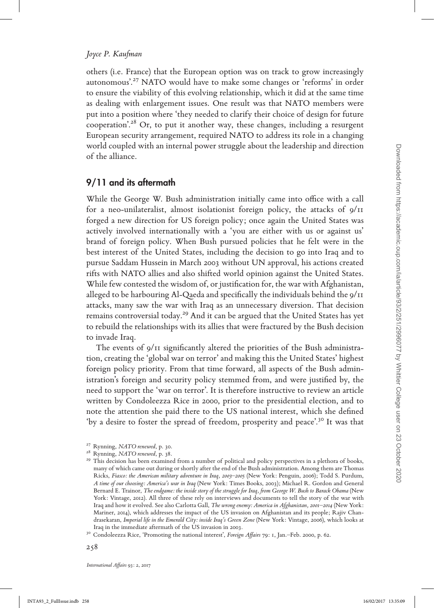others (i.e. France) that the European option was on track to grow increasingly autonomous'.27 NATO would have to make some changes or 'reforms' in order to ensure the viability of this evolving relationship, which it did at the same time as dealing with enlargement issues. One result was that NATO members were put into a position where 'they needed to clarify their choice of design for future cooperation'.28 Or, to put it another way, these changes, including a resurgent European security arrangement, required NATO to address its role in a changing world coupled with an internal power struggle about the leadership and direction of the alliance.

## 9/11 and its aftermath

While the George W. Bush administration initially came into office with a call for a neo-unilateralist, almost isolationist foreign policy, the attacks of 9/11 forged a new direction for US foreign policy; once again the United States was actively involved internationally with a 'you are either with us or against us' brand of foreign policy. When Bush pursued policies that he felt were in the best interest of the United States, including the decision to go into Iraq and to pursue Saddam Hussein in March 2003 without UN approval, his actions created rifts with NATO allies and also shifted world opinion against the United States. While few contested the wisdom of, or justification for, the war with Afghanistan, alleged to be harbouring Al-Qaeda and specifically the individuals behind the 9/11 attacks, many saw the war with Iraq as an unnecessary diversion. That decision remains controversial today.<sup>29</sup> And it can be argued that the United States has yet to rebuild the relationships with its allies that were fractured by the Bush decision to invade Iraq. We can consider the state of the state of the state of the state of the state of the state of the state of the state of the state of the state of the state of the state of the state of the state of the state of the state

The events of 9/11 significantly altered the priorities of the Bush administration, creating the 'global war on terror' and making this the United States' highest foreign policy priority. From that time forward, all aspects of the Bush administration's foreign and security policy stemmed from, and were justified by, the need to support the 'war on terror'. It is therefore instructive to review an article written by Condoleezza Rice in 2000, prior to the presidential election, and to note the attention she paid there to the US national interest, which she defined 'by a desire to foster the spread of freedom, prosperity and peace'.30 It was that

<sup>&</sup>lt;sup>27</sup> Rynning, *NATO renewed*, p. 30.<br><sup>28</sup> Rynning, *NATO renewed*, p. 38.<br><sup>29</sup> This decision has been examined from a number of political and policy perspectives in a plethora of books, many of which came out during or shortly after the end of the Bush administration. Among them are Thomas Ricks, *Fiasco: the American military adventure in Iraq, 2003–2005* (New York: Penguin, 2006); Todd S. Purdum, *A time of our choosing: America's war in Iraq* (New York: Times Books, 2003); Michael R. Gordon and General Bernard E. Trainor, *The endgame: the inside story of the struggle for Iraq, from George W. Bush to Barack Obama* (New York: Vintage, 2012). All three of these rely on interviews and documents to tell the story of the war with Iraq and how it evolved. See also Carlotta Gall, *The wrong enemy: America in Afghanistan, 2001–2014* (New York: Mariner, 2014), which addresses the impact of the US invasion on Afghanistan and its people; Rajiv Chandrasekaran, *Imperial life in the Emerald City: inside Iraq's Green Zone* (New York: Vintage, 2006), which looks at Iraq in the immediate aftermath of the US invasion in 2003. <sup>30</sup> Condoleezza Rice, 'Promoting the national interest', *Foreign Affairs* 79: 1, Jan.–Feb. 2000, p. 62.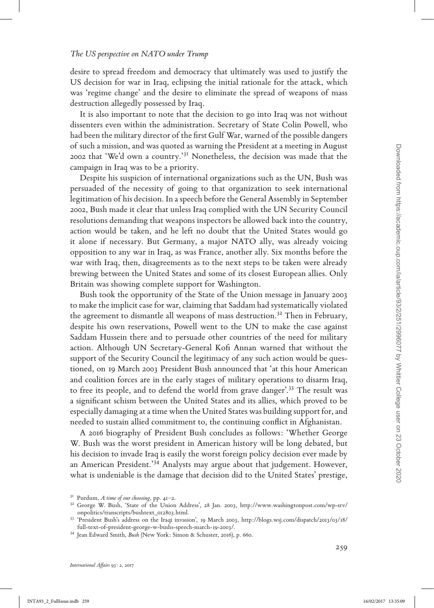desire to spread freedom and democracy that ultimately was used to justify the US decision for war in Iraq, eclipsing the initial rationale for the attack, which was 'regime change' and the desire to eliminate the spread of weapons of mass destruction allegedly possessed by Iraq.

It is also important to note that the decision to go into Iraq was not without dissenters even within the administration. Secretary of State Colin Powell, who had been the military director of the first Gulf War, warned of the possible dangers of such a mission, and was quoted as warning the President at a meeting in August 2002 that 'We'd own a country.'31 Nonetheless, the decision was made that the campaign in Iraq was to be a priority.

Despite his suspicion of international organizations such as the UN, Bush was persuaded of the necessity of going to that organization to seek international legitimation of his decision. In a speech before the General Assembly in September 2002, Bush made it clear that unless Iraq complied with the UN Security Council resolutions demanding that weapons inspectors be allowed back into the country, action would be taken, and he left no doubt that the United States would go it alone if necessary. But Germany, a major NATO ally, was already voicing opposition to any war in Iraq, as was France, another ally. Six months before the war with Iraq, then, disagreements as to the next steps to be taken were already brewing between the United States and some of its closest European allies. Only Britain was showing complete support for Washington.

Bush took the opportunity of the State of the Union message in January 2003 to make the implicit case for war, claiming that Saddam had systematically violated the agreement to dismantle all weapons of mass destruction.<sup>32</sup> Then in February, despite his own reservations, Powell went to the UN to make the case against Saddam Hussein there and to persuade other countries of the need for military action. Although UN Secretary-General Kofi Annan warned that without the support of the Security Council the legitimacy of any such action would be questioned, on 19 March 2003 President Bush announced that 'at this hour American and coalition forces are in the early stages of military operations to disarm Iraq, to free its people, and to defend the world from grave danger'.33 The result was a significant schism between the United States and its allies, which proved to be especially damaging at a time when the United States was building support for, and needed to sustain allied commitment to, the continuing conflict in Afghanistan. or through the second to the second from the second from the UNI Book and the UNI Book and the UNI Book and the UNI Book and the UNI Book and the UNI Book and the UNI Book and the UNI Book and the UNI Book and the UNI Boo

A 2016 biography of President Bush concludes as follows: 'Whether George W. Bush was the worst president in American history will be long debated, but his decision to invade Iraq is easily the worst foreign policy decision ever made by an American President.'34 Analysts may argue about that judgement. However, what is undeniable is the damage that decision did to the United States' prestige,

<sup>&</sup>lt;sup>31</sup> Purdum, *A time of our choosing*, pp. 41–2.<br><sup>32</sup> George W. Bush, 'State of the Union Address', 28 Jan. 2003, http://www.washingtonpost.com/wp-srv/ onpolitics/transcripts/bushtext\_012803.html. <sup>33</sup> 'President Bush's address on the Iraqi invasion', 19 March 2003, http://blogs.wsj.com/dispatch/2013/03/18/

full-text-of-president-george-w-bushs-speech-march-19-2003/. <sup>34</sup> Jean Edward Smith, *Bush* (New York: Simon & Schuster, 2016), p. 660.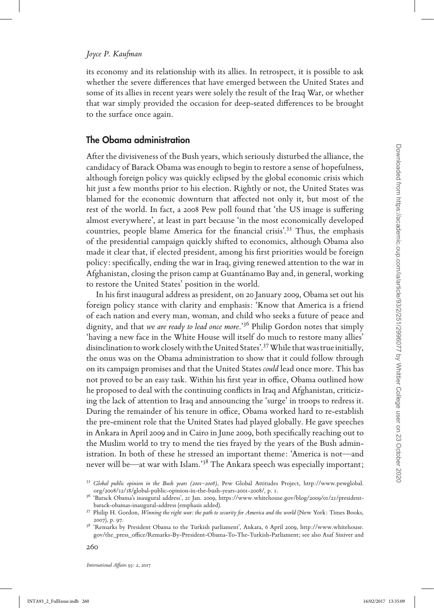its economy and its relationship with its allies. In retrospect, it is possible to ask whether the severe differences that have emerged between the United States and some of its allies in recent years were solely the result of the Iraq War, or whether that war simply provided the occasion for deep-seated differences to be brought to the surface once again.

## The Obama administration

After the divisiveness of the Bush years, which seriously disturbed the alliance, the candidacy of Barack Obama was enough to begin to restore a sense of hopefulness, although foreign policy was quickly eclipsed by the global economic crisis which hit just a few months prior to his election. Rightly or not, the United States was blamed for the economic downturn that affected not only it, but most of the rest of the world. In fact, a 2008 Pew poll found that 'the US image is suffering almost everywhere', at least in part because 'in the most economically developed countries, people blame America for the financial crisis'.35 Thus, the emphasis of the presidential campaign quickly shifted to economics, although Obama also made it clear that, if elected president, among his first priorities would be foreign policy: specifically, ending the war in Iraq, giving renewed attention to the war in Afghanistan, closing the prison camp at Guantánamo Bay and, in general, working to restore the United States' position in the world.

In his first inaugural address as president, on 20 January 2009, Obama set out his foreign policy stance with clarity and emphasis: 'Know that America is a friend of each nation and every man, woman, and child who seeks a future of peace and dignity, and that *we are ready to lead once more*.'36 Philip Gordon notes that simply 'having a new face in the White House will itself do much to restore many allies' disinclination to work closely with the United States'.37 While that was true initially, the onus was on the Obama administration to show that it could follow through on its campaign promises and that the United States *could* lead once more. This has not proved to be an easy task. Within his first year in office, Obama outlined how he proposed to deal with the continuing conflicts in Iraq and Afghanistan, criticizing the lack of attention to Iraq and announcing the 'surge' in troops to redress it. During the remainder of his tenure in office, Obama worked hard to re-establish the pre-eminent role that the United States had played globally. He gave speeches in Ankara in April 2009 and in Cairo in June 2009, both specifically reaching out to the Muslim world to try to mend the ties frayed by the years of the Bush administration. In both of these he stressed an important theme: 'America is not—and never will be—at war with Islam.'38 The Ankara speech was especially important; After the divisiveness of the Bush years, which seriously disturbed the alliance, the candidary of Bural Obush variously to begin to record a sum of hepitalities, shown that the Mayer and the shell from the shell from the

<sup>35</sup> *Global public opinion in the Bush years (2001–2008)*, Pew Global Attitudes Project, http://www.pewglobal.

<sup>&</sup>lt;sup>36</sup> 'Barack Obama's inaugural address', 21 Jan. 2009, https://www.whitehouse.gov/blog/2009/01/21/president-<br>barack-obamas-inaugural-address (emphasis added).

<sup>&</sup>lt;sup>37</sup> Philip H. Gordon, *Winning the right war: the path to security for America and the world (New York: Times Books,* 2007), p. 97. <sup>38</sup> 'Remarks by President Obama to the Turkish parliament', Ankara, 6 April 2009, http://www.whitehouse.

gov/the\_press\_office/Remarks-By-President-Obama-To-The-Turkish-Parliament; see also Asaf Siniver and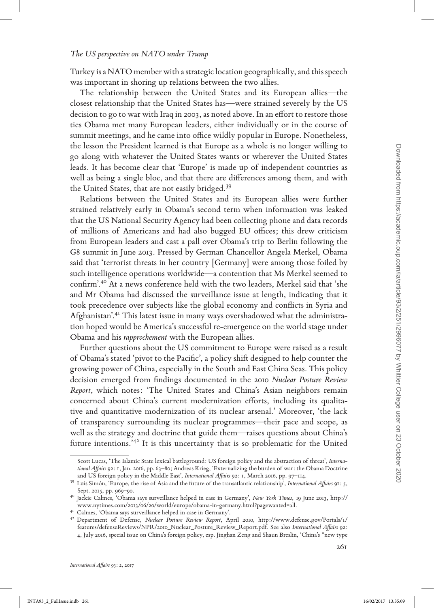Turkey is a NATO member with a strategic location geographically, and this speech was important in shoring up relations between the two allies.

The relationship between the United States and its European allies—the closest relationship that the United States has—were strained severely by the US decision to go to war with Iraq in 2003, as noted above. In an effort to restore those ties Obama met many European leaders, either individually or in the course of summit meetings, and he came into office wildly popular in Europe. Nonetheless, the lesson the President learned is that Europe as a whole is no longer willing to go along with whatever the United States wants or wherever the United States leads. It has become clear that 'Europe' is made up of independent countries as well as being a single bloc, and that there are differences among them, and with the United States, that are not easily bridged.39

Relations between the United States and its European allies were further strained relatively early in Obama's second term when information was leaked that the US National Security Agency had been collecting phone and data records of millions of Americans and had also bugged EU offices; this drew criticism from European leaders and cast a pall over Obama's trip to Berlin following the G8 summit in June 2013. Pressed by German Chancellor Angela Merkel, Obama said that 'terrorist threats in her country [Germany] were among those foiled by such intelligence operations worldwide—a contention that Ms Merkel seemed to confirm'.40 At a news conference held with the two leaders, Merkel said that 'she and Mr Obama had discussed the surveillance issue at length, indicating that it took precedence over subjects like the global economy and conflicts in Syria and Afghanistan'.41 This latest issue in many ways overshadowed what the administration hoped would be America's successful re-emergence on the world stage under Obama and his *rapprochement* with the European allies. IT is last that the college states are the set of the set of the set of the set of the set of the set of the set of the set of the set of the set of the set of the set of the set of the set of the set of the set of the se

Further questions about the US commitment to Europe were raised as a result of Obama's stated 'pivot to the Pacific', a policy shift designed to help counter the growing power of China, especially in the South and East China Seas. This policy decision emerged from findings documented in the 2010 *Nuclear Posture Review Report*, which notes: 'The United States and China's Asian neighbors remain concerned about China's current modernization efforts, including its qualitative and quantitative modernization of its nuclear arsenal.' Moreover, 'the lack of transparency surrounding its nuclear programmes—their pace and scope, as well as the strategy and doctrine that guide them—raises questions about China's future intentions.'42 It is this uncertainty that is so problematic for the United

Scott Lucas, 'The Islamic State lexical battleground: US foreign policy and the abstraction of threat', *International Affairs* 92: 1, Jan. 2016, pp. 63–80; Andreas Krieg, 'Externalizing the burden of war: the Obama Doctrine

<sup>&</sup>lt;sup>39</sup> Luis Simón, 'Europe, the rise of Asia and the future of the transatlantic relationship', International Affairs 91: 5,

Sept. 2015, pp. 969–90. <sup>40</sup> Jackie Calmes, 'Obama says surveillance helped in case in Germany', *New York Times*, 19 June 2013, http://

<sup>&</sup>lt;sup>41</sup> Calmes, 'Obama says surveillance helped in case in Germany'.<br><sup>42</sup> Department of Defense, *Nuclear Posture Review Report*, April 2010, http://www.defense.gov/Portals/1/ features/defenseReviews/NPR/2010\_Nuclear\_Posture\_Review\_Report.pdf. See also *International Affairs* 92: 4, July 2016, special issue on China's foreign policy, esp. Jinghan Zeng and Shaun Breslin, 'China's "new type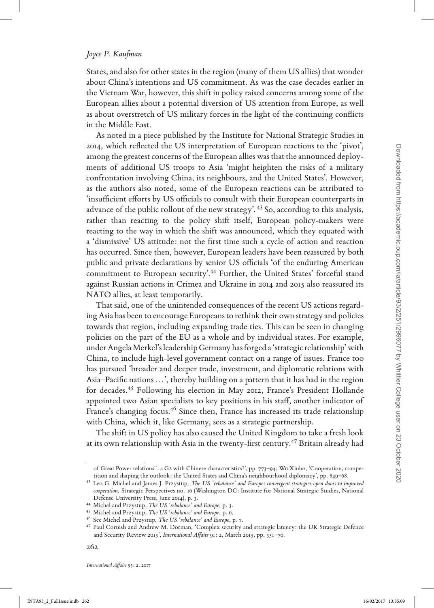States, and also for other states in the region (many of them US allies) that wonder about China's intentions and US commitment. As was the case decades earlier in the Vietnam War, however, this shift in policy raised concerns among some of the European allies about a potential diversion of US attention from Europe, as well as about overstretch of US military forces in the light of the continuing conflicts in the Middle East.

As noted in a piece published by the Institute for National Strategic Studies in 2014, which reflected the US interpretation of European reactions to the 'pivot', among the greatest concerns of the European allies was that the announced deployments of additional US troops to Asia 'might heighten the risks of a military confrontation involving China, its neighbours, and the United States'. However, as the authors also noted, some of the European reactions can be attributed to 'insufficient efforts by US officials to consult with their European counterparts in advance of the public rollout of the new strategy'.<sup>43</sup> So, according to this analysis, rather than reacting to the policy shift itself, European policy-makers were reacting to the way in which the shift was announced, which they equated with a 'dismissive' US attitude: not the first time such a cycle of action and reaction has occurred. Since then, however, European leaders have been reassured by both public and private declarations by senior US officials 'of the enduring American commitment to European security'.44 Further, the United States' forceful stand against Russian actions in Crimea and Ukraine in 2014 and 2015 also reassured its NATO allies, at least temporarily. 2014). The matrix of the particle in the particle in the sign of the particle in the sign of the sign of the sign of the most of a sign in the sign of the sign of the sign of the sign of the sign of the sign of the sign o

That said, one of the unintended consequences of the recent US actions regarding Asia has been to encourage Europeans to rethink their own strategy and policies towards that region, including expanding trade ties. This can be seen in changing policies on the part of the EU as a whole and by individual states. For example, under Angela Merkel's leadership Germany has forged a 'strategic relationship' with China, to include high-level government contact on a range of issues. France too has pursued 'broader and deeper trade, investment, and diplomatic relations with Asia–Pacific nations ...', thereby building on a pattern that it has had in the region for decades.45 Following his election in May 2012, France's President Hollande appointed two Asian specialists to key positions in his staff, another indicator of France's changing focus.<sup>46</sup> Since then, France has increased its trade relationship with China, which it, like Germany, sees as a strategic partnership.

The shift in US policy has also caused the United Kingdom to take a fresh look at its own relationship with Asia in the twenty-first century.<sup>47</sup> Britain already had

of Great Power relations": a G2 with Chinese characteristics?', pp. 773–94; Wu Xinbo, 'Cooperation, compe-

tition and shaping the outlook: the United States and China's neighbourhood diplomacy', pp. 849–68. <sup>43</sup> Leo G. Michel and James J. Przystup, *The US 'rebalance' and Europe: convergent strategies open doors to improved cooperation*, Strategic Perspectives no. 16 (Washington DC: Institute for National Strategic Studies, National

<sup>&</sup>lt;sup>44</sup> Michel and Przystup, *The US 'rebalance' and Europe*, p. 3.<br><sup>45</sup> Michel and Przystup, *The US 'rebalance' and Europe*, p. 6.<br><sup>46</sup> See Michel and Przystup, *The US 'rebalance' and Europe*, p. 7.<br><sup>47</sup> Paul Cornish and A and Security Review 2015', *International Affairs* 91: 2, March 2015, pp. 351–70.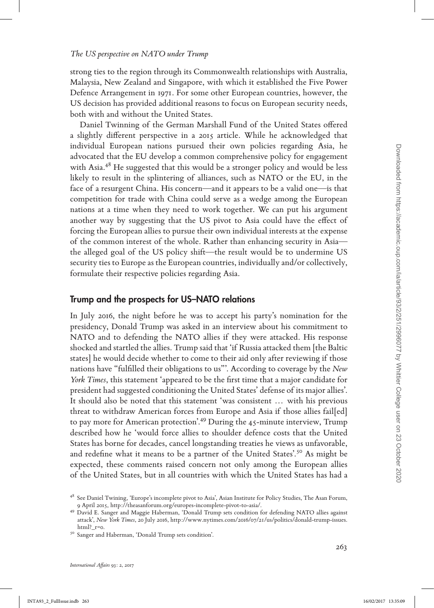## *The US perspective on NATO under Trump*

strong ties to the region through its Commonwealth relationships with Australia, Malaysia, New Zealand and Singapore, with which it established the Five Power Defence Arrangement in 1971. For some other European countries, however, the US decision has provided additional reasons to focus on European security needs, both with and without the United States.

Daniel Twinning of the German Marshall Fund of the United States offered a slightly different perspective in a 2015 article. While he acknowledged that individual European nations pursued their own policies regarding Asia, he advocated that the EU develop a common comprehensive policy for engagement with Asia.<sup>48</sup> He suggested that this would be a stronger policy and would be less likely to result in the splintering of alliances, such as NATO or the EU, in the face of a resurgent China. His concern—and it appears to be a valid one—is that competition for trade with China could serve as a wedge among the European nations at a time when they need to work together. We can put his argument another way by suggesting that the US pivot to Asia could have the effect of forcing the European allies to pursue their own individual interests at the expense of the common interest of the whole. Rather than enhancing security in Asia the alleged goal of the US policy shift—the result would be to undermine US security ties to Europe as the European countries, individually and/or collectively, formulate their respective policies regarding Asia.

## Trump and the prospects for US–NATO relations

In July 2016, the night before he was to accept his party's nomination for the presidency, Donald Trump was asked in an interview about his commitment to NATO and to defending the NATO allies if they were attacked. His response shocked and startled the allies. Trump said that 'if Russia attacked them [the Baltic states] he would decide whether to come to their aid only after reviewing if those nations have "fulfilled their obligations to us"'. According to coverage by the *New York Times*, this statement 'appeared to be the first time that a major candidate for president had suggested conditioning the United States' defense of its major allies'. It should also be noted that this statement 'was consistent ... with his previous threat to withdraw American forces from Europe and Asia if those allies fail[ed] to pay more for American protection'.49 During the 45-minute interview, Trump described how he 'would force allies to shoulder defence costs that the United States has borne for decades, cancel longstanding treaties he views as unfavorable, and redefine what it means to be a partner of the United States'.50 As might be expected, these comments raised concern not only among the European allies of the United States, but in all countries with which the United States has had a Interest of the superator of the magnitude of the substitute of the substitution of the substitution of the substitution of the substitution of the substitution of the substitution of the substitution of the substitution o

<sup>&</sup>lt;sup>48</sup> See Daniel Twining, 'Europe's incomplete pivot to Asia', Asian Institute for Policy Studies, The Asan Forum, 9 April 2015, http://theasanforum.org/europes-incomplete-pivot-to-asia/.

<sup>&</sup>lt;sup>49</sup> David E. Sanger and Maggie Haberman, 'Donald Trump sets condition for defending NATO allies against attack', *New York Times*, 20 July 2016, http://www.nytimes.com/2016/07/21/us/politics/donald-trump-issues.

html?\_r=0. <sup>50</sup> Sanger and Haberman, 'Donald Trump sets condition'.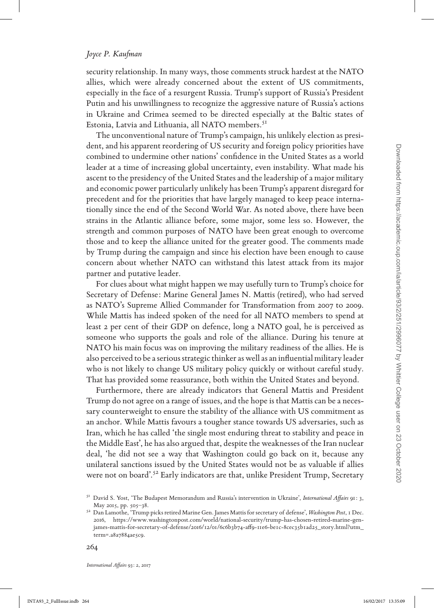security relationship. In many ways, those comments struck hardest at the NATO allies, which were already concerned about the extent of US commitments, especially in the face of a resurgent Russia. Trump's support of Russia's President Putin and his unwillingness to recognize the aggressive nature of Russia's actions in Ukraine and Crimea seemed to be directed especially at the Baltic states of Estonia, Latvia and Lithuania, all NATO members.<sup>51</sup>

The unconventional nature of Trump's campaign, his unlikely election as president, and his apparent reordering of US security and foreign policy priorities have combined to undermine other nations' confidence in the United States as a world leader at a time of increasing global uncertainty, even instability. What made his ascent to the presidency of the United States and the leadership of a major military and economic power particularly unlikely has been Trump's apparent disregard for precedent and for the priorities that have largely managed to keep peace internationally since the end of the Second World War. As noted above, there have been strains in the Atlantic alliance before, some major, some less so. However, the strength and common purposes of NATO have been great enough to overcome those and to keep the alliance united for the greater good. The comments made by Trump during the campaign and since his election have been enough to cause concern about whether NATO can withstand this latest attack from its major partner and putative leader. EVERT AND THE INTERFET CONDITIONS OF THE VALUE CONDITIONS (When make the state of the state of the constrained from the properties of the brighting of the properties of the brighting of the properties of the brighting of

For clues about what might happen we may usefully turn to Trump's choice for Secretary of Defense: Marine General James N. Mattis (retired), who had served as NATO's Supreme Allied Commander for Transformation from 2007 to 2009. While Mattis has indeed spoken of the need for all NATO members to spend at least 2 per cent of their GDP on defence, long a NATO goal, he is perceived as someone who supports the goals and role of the alliance. During his tenure at NATO his main focus was on improving the military readiness of the allies. He is also perceived to be a serious strategic thinker as well as an influential military leader who is not likely to change US military policy quickly or without careful study. That has provided some reassurance, both within the United States and beyond.

Furthermore, there are already indicators that General Mattis and President Trump do not agree on a range of issues, and the hope is that Mattis can be a necessary counterweight to ensure the stability of the alliance with US commitment as an anchor. While Mattis favours a tougher stance towards US adversaries, such as Iran, which he has called 'the single most enduring threat to stability and peace in the Middle East', he has also argued that, despite the weaknesses of the Iran nuclear deal, 'he did not see a way that Washington could go back on it, because any unilateral sanctions issued by the United States would not be as valuable if allies were not on board'.<sup>52</sup> Early indicators are that, unlike President Trump, Secretary

<sup>51</sup> David S. Yost, 'The Budapest Memorandum and Russia's intervention in Ukraine', *International Affairs* 91: 3, May 2015, pp. 505–38. <sup>52</sup> Dan Lamothe, 'Trump picks retired Marine Gen. James Mattis for secretary of defense', *Washington Post*, 1 Dec.

<sup>2016,</sup> https://www.washingtonpost.com/world/national-security/trump-has-chosen-retired-marine-genjames-mattis-for-secretary-of-defense/2016/12/01/6c6b3b74-aff9-11e6-be1c-8cec35b1ad25\_story.html?utm\_ term=.a8a7884ae5c9.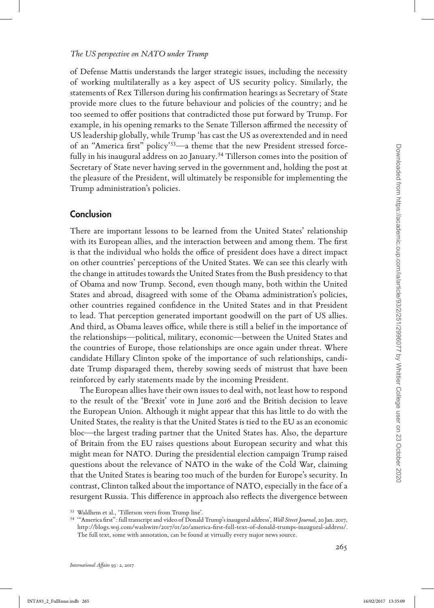#### *The US perspective on NATO under Trump*

of Defense Mattis understands the larger strategic issues, including the necessity of working multilaterally as a key aspect of US security policy. Similarly, the statements of Rex Tillerson during his confirmation hearings as Secretary of State provide more clues to the future behaviour and policies of the country; and he too seemed to offer positions that contradicted those put forward by Trump. For example, in his opening remarks to the Senate Tillerson affirmed the necessity of US leadership globally, while Trump 'has cast the US as overextended and in need of an "America first" policy'53—a theme that the new President stressed forcefully in his inaugural address on 20 January.<sup>54</sup> Tillerson comes into the position of Secretary of State never having served in the government and, holding the post at the pleasure of the President, will ultimately be responsible for implementing the Trump administration's policies.

## **Conclusion**

There are important lessons to be learned from the United States' relationship with its European allies, and the interaction between and among them. The first is that the individual who holds the office of president does have a direct impact on other countries' perceptions of the United States. We can see this clearly with the change in attitudes towards the United States from the Bush presidency to that of Obama and now Trump. Second, even though many, both within the United States and abroad, disagreed with some of the Obama administration's policies, other countries regained confidence in the United States and in that President to lead. That perception generated important goodwill on the part of US allies. And third, as Obama leaves office, while there is still a belief in the importance of the relationships—political, military, economic—between the United States and the countries of Europe, those relationships are once again under threat. Where candidate Hillary Clinton spoke of the importance of such relationships, candidate Trump disparaged them, thereby sowing seeds of mistrust that have been reinforced by early statements made by the incoming President. or an<br>
an America rate of the President on 2018 have the new Presenctive restriction of<br>
Section of the phenomenon of the president with the government and, halling the past<br>and the plasmar of the President, will alterna

The European allies have their own issues to deal with, not least how to respond to the result of the 'Brexit' vote in June 2016 and the British decision to leave the European Union. Although it might appear that this has little to do with the United States, the reality is that the United States is tied to the EU as an economic bloc—the largest trading partner that the United States has. Also, the departure of Britain from the EU raises questions about European security and what this might mean for NATO. During the presidential election campaign Trump raised questions about the relevance of NATO in the wake of the Cold War, claiming that the United States is bearing too much of the burden for Europe's security. In contrast, Clinton talked about the importance of NATO, especially in the face of a resurgent Russia. This difference in approach also reflects the divergence between

<sup>53</sup> Waldhem et al., 'Tillerson veers from Trump line'. 54 '"America first": full transcript and video of Donald Trump's inaugural address', *Wall Street Journal*, 20 Jan. 2017, http://blogs.wsj.com/washwire/2017/01/20/america-first-full-text-of-donald-trumps-inaugural-address/. The full text, some with annotation, can be found at virtually every major news source.